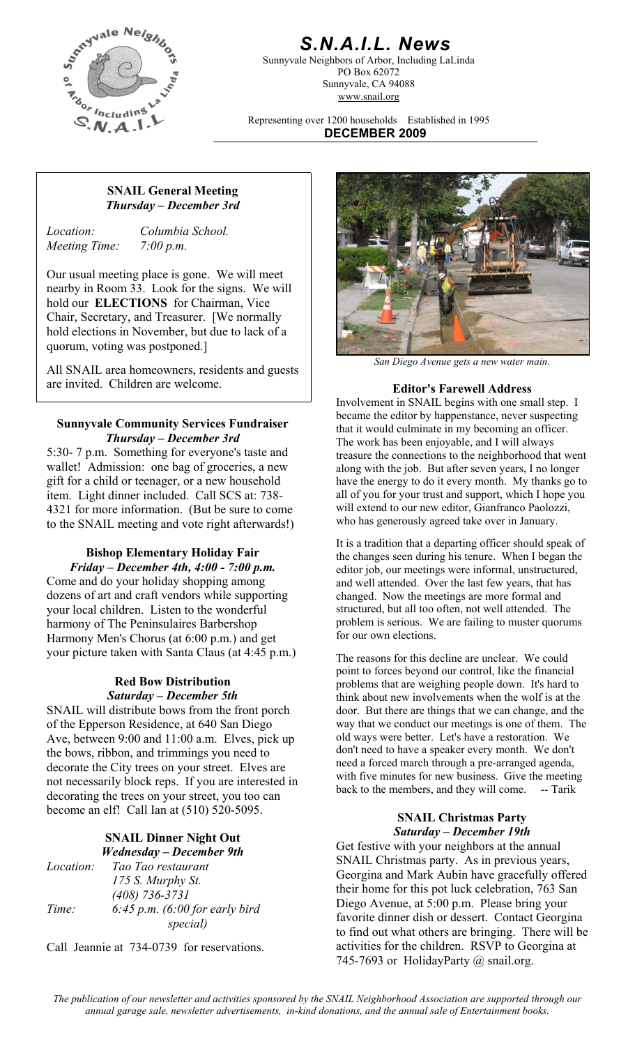

# *S.N.A.I.L. News*

Sunnyvale Neighbors of Arbor, Including LaLinda PO Box 62072 Sunnyvale, CA 94088 www.snail.org

Representing over 1200 households Established in 1995 **DECEMBER 2009**

### **SNAIL General Meeting**  *Thursday – December 3rd*

*Meeting Time: 7:00 p.m.* 

*Location: Columbia School.* 

Our usual meeting place is gone. We will meet nearby in Room 33. Look for the signs. We will hold our **ELECTIONS** for Chairman, Vice Chair, Secretary, and Treasurer. [We normally hold elections in November, but due to lack of a quorum, voting was postponed.]

*San Diego Avenue gets a new water main.* All SNAIL area homeowners, residents and guests are invited. Children are welcome. **Editor's Farewell Address** 

### **Sunnyvale Community Services Fundraiser**  *Thursday – December 3rd*

5:30- 7 p.m. Something for everyone's taste and wallet! Admission: one bag of groceries, a new gift for a child or teenager, or a new household item. Light dinner included. Call SCS at: 738- 4321 for more information. (But be sure to come to the SNAIL meeting and vote right afterwards!)

# **Bishop Elementary Holiday Fair**

*Friday – December 4th, 4:00 - 7:00 p.m.* Come and do your holiday shopping among dozens of art and craft vendors while supporting your local children. Listen to the wonderful harmony of The Peninsulaires Barbershop Harmony Men's Chorus (at 6:00 p.m.) and get your picture taken with Santa Claus (at 4:45 p.m.) The reasons for this decline are unclear. We could

#### **Red Bow Distribution**  *Saturday – December 5th*

SNAIL will distribute bows from the front porch of the Epperson Residence, at 640 San Diego Ave, between 9:00 and 11:00 a.m. Elves, pick up the bows, ribbon, and trimmings you need to decorate the City trees on your street. Elves are not necessarily block reps. If you are interested in decorating the trees on your street, you too can become an elf! Call Ian at (510) 520-5095. **SNAIL Christmas Party** 

# *Saturday – December 19th* **SNAIL Dinner Night Out**

*Location: Tao Tao restaurant 175 S. Murphy St. (408) 736-3731 Time: 6:45 p.m. (6:00 for early bird special)*

Call Jeannie at 734-0739 for reservations.



Involvement in SNAIL begins with one small step. I became the editor by happenstance, never suspecting that it would culminate in my becoming an officer. The work has been enjoyable, and I will always treasure the connections to the neighborhood that went along with the job. But after seven years, I no longer have the energy to do it every month. My thanks go to all of you for your trust and support, which I hope you will extend to our new editor, Gianfranco Paolozzi, who has generously agreed take over in January.

It is a tradition that a departing officer should speak of the changes seen during his tenure. When I began the editor job, our meetings were informal, unstructured, and well attended. Over the last few years, that has changed. Now the meetings are more formal and structured, but all too often, not well attended. The problem is serious. We are failing to muster quorums for our own elections.

point to forces beyond our control, like the financial problems that are weighing people down. It's hard to think about new involvements when the wolf is at the door. But there are things that we can change, and the way that we conduct our meetings is one of them. The old ways were better. Let's have a restoration. We don't need to have a speaker every month. We don't need a forced march through a pre-arranged agenda, with five minutes for new business. Give the meeting back to the members, and they will come. -- Tarik

*Wednesday – December 9th* Get festive with your neighbors at the annual *Wednesday – December 9th* SNAIL Christmas party. As in previous years, Georgina and Mark Aubin have gracefully offered their home for this pot luck celebration, 763 San Diego Avenue, at 5:00 p.m. Please bring your favorite dinner dish or dessert. Contact Georgina to find out what others are bringing. There will be activities for the children. RSVP to Georgina at 745-7693 or HolidayParty @ snail.org.

*The publication of our newsletter and activities sponsored by the SNAIL Neighborhood Association are supported through our annual garage sale, newsletter advertisements, in-kind donations, and the annual sale of Entertainment books.*